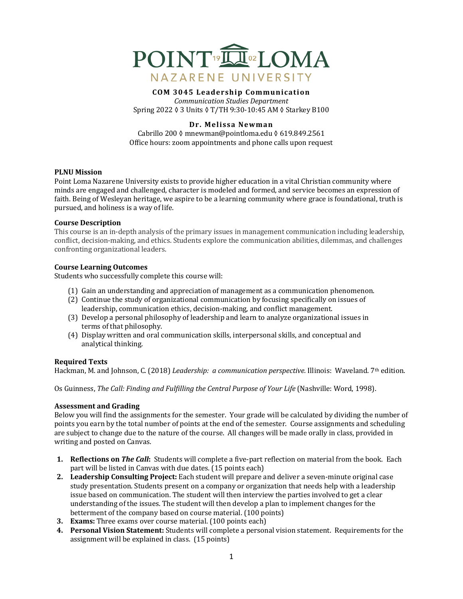

# **COM 3045 Leadership Communication**

*Communication Studies Department* Spring 2022 ♦ 3 Units ♦ T/TH 9:30-10:45 AM ♦ Starkey B100

# **Dr. Melissa Newman**

Cabrillo 200 ◊ mnewman@pointloma.edu ◊ 619.849.2561 Office hours: zoom appointments and phone calls upon request

#### **PLNU** Mission

Point Loma Nazarene University exists to provide higher education in a vital Christian community where minds are engaged and challenged, character is modeled and formed, and service becomes an expression of faith. Being of Wesleyan heritage, we aspire to be a learning community where grace is foundational, truth is pursued, and holiness is a way of life.

#### **Course Description**

This course is an in-depth analysis of the primary issues in management communication including leadership, conflict, decision-making, and ethics. Students explore the communication abilities, dilemmas, and challenges confronting organizational leaders.

#### **Course Learning Outcomes**

Students who successfully complete this course will:

- (1) Gain an understanding and appreciation of management as a communication phenomenon.
- (2) Continue the study of organizational communication by focusing specifically on issues of leadership, communication ethics, decision-making, and conflict management.
- (3) Develop a personal philosophy of leadership and learn to analyze organizational issues in terms of that philosophy.
- (4) Display written and oral communication skills, interpersonal skills, and conceptual and analytical thinking.

# **Required Texts**

Hackman, M. and Johnson, C. (2018) *Leadership: a communication perspective.* Illinois: Waveland. 7th edition.

Os Guinness, *The Call: Finding and Fulfilling the Central Purpose of Your Life* (Nashville: Word, 1998).

# **Assessment and Grading**

Below you will find the assignments for the semester. Your grade will be calculated by dividing the number of points you earn by the total number of points at the end of the semester. Course assignments and scheduling are subject to change due to the nature of the course. All changes will be made orally in class, provided in writing and posted on Canvas.

- **1. Reflections on** *The Call*: Students will complete a five-part reflection on material from the book. Each part will be listed in Canvas with due dates. (15 points each)
- **2.** Leadership Consulting Project: Each student will prepare and deliver a seven-minute original case study presentation. Students present on a company or organization that needs help with a leadership issue based on communication. The student will then interview the parties involved to get a clear understanding of the issues. The student will then develop a plan to implement changes for the betterment of the company based on course material. (100 points)
- **3. Exams:** Three exams over course material. (100 points each)
- **4. Personal Vision Statement:** Students will complete a personal vision statement. Requirements for the assignment will be explained in class. (15 points)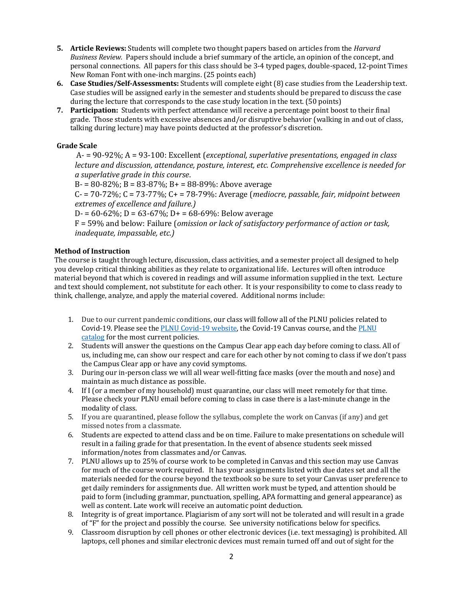- **5. Article Reviews:** Students will complete two thought papers based on articles from the *Harvard Business Review.* Papers should include a brief summary of the article, an opinion of the concept, and personal connections. All papers for this class should be 3-4 typed pages, double-spaced, 12-point Times New Roman Font with one-inch margins. (25 points each)
- **6. Case Studies/Self-Assessments:** Students will complete eight (8) case studies from the Leadership text. Case studies will be assigned early in the semester and students should be prepared to discuss the case during the lecture that corresponds to the case study location in the text. (50 points)
- **7.** Participation: Students with perfect attendance will receive a percentage point boost to their final grade. Those students with excessive absences and/or disruptive behavior (walking in and out of class, talking during lecture) may have points deducted at the professor's discretion.

# **Grade Scale**

A- = 90-92%; A = 93-100: Excellent (*exceptional, superlative presentations, engaged in class lecture and discussion, attendance, posture, interest, etc. Comprehensive excellence is needed for a superlative grade in this course*.

 $B = 80 - 82\%$ ;  $B = 83 - 87\%$ ;  $B = 88 - 89\%$ : Above average

 $C - 70 - 72\%$ ;  $C = 73 - 77\%$ ;  $C + 78 - 79\%$ : Average (*mediocre, passable, fair, midpoint between extremes of excellence and failure.)*

 $D = 60-62\%$ ;  $D = 63-67\%$ ;  $D = 68-69\%$ ; Below average

 $F = 59%$  and below: Failure (*omission or lack of satisfactory performance of action or task, inadequate, impassable, etc.)* 

# **Method of Instruction**

The course is taught through lecture, discussion, class activities, and a semester project all designed to help you develop critical thinking abilities as they relate to organizational life. Lectures will often introduce material beyond that which is covered in readings and will assume information supplied in the text. Lecture and text should complement, not substitute for each other. It is your responsibility to come to class ready to think, challenge, analyze, and apply the material covered. Additional norms include:

- 1. Due to our current pandemic conditions, our class will follow all of the PLNU policies related to Covid-19. Please see the PLNU Covid-19 website, the Covid-19 Canvas course, and the PLNU catalog for the most current policies.
- 2. Students will answer the questions on the Campus Clear app each day before coming to class. All of us, including me, can show our respect and care for each other by not coming to class if we don't pass the Campus Clear app or have any covid symptoms.
- 3. During our in-person class we will all wear well-fitting face masks (over the mouth and nose) and maintain as much distance as possible.
- 4. If I (or a member of my household) must quarantine, our class will meet remotely for that time. Please check your PLNU email before coming to class in case there is a last-minute change in the modality of class.
- 5. If you are quarantined, please follow the syllabus, complete the work on Canvas (if any) and get missed notes from a classmate.
- 6. Students are expected to attend class and be on time. Failure to make presentations on schedule will result in a failing grade for that presentation. In the event of absence students seek missed information/notes from classmates and/or Canvas.
- 7. PLNU allows up to 25% of course work to be completed in Canvas and this section may use Canvas for much of the course work required. It has your assignments listed with due dates set and all the materials needed for the course beyond the textbook so be sure to set your Canvas user preference to get daily reminders for assignments due. All written work must be typed, and attention should be paid to form (including grammar, punctuation, spelling, APA formatting and general appearance) as well as content. Late work will receive an automatic point deduction.
- 8. Integrity is of great importance. Plagiarism of any sort will not be tolerated and will result in a grade of "F" for the project and possibly the course. See university notifications below for specifics.
- 9. Classroom disruption by cell phones or other electronic devices (i.e. text messaging) is prohibited. All laptops, cell phones and similar electronic devices must remain turned off and out of sight for the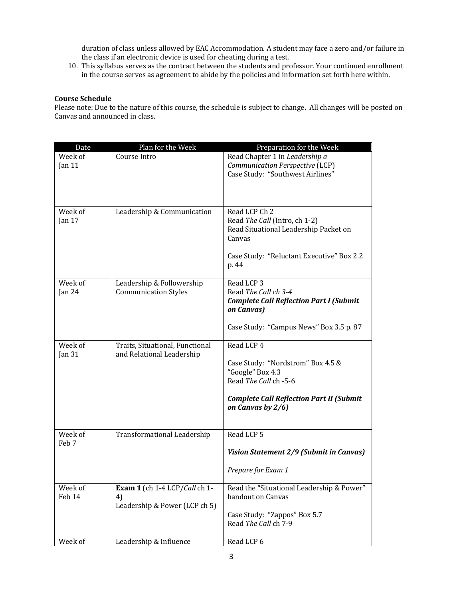duration of class unless allowed by EAC Accommodation. A student may face a zero and/or failure in the class if an electronic device is used for cheating during a test.

10. This syllabus serves as the contract between the students and professor. Your continued enrollment in the course serves as agreement to abide by the policies and information set forth here within.

# **Course Schedule**

Please note: Due to the nature of this course, the schedule is subject to change. All changes will be posted on Canvas and announced in class.

| Date                         | Plan for the Week                                                    | Preparation for the Week                                                                                                                                             |
|------------------------------|----------------------------------------------------------------------|----------------------------------------------------------------------------------------------------------------------------------------------------------------------|
| Week of<br>Jan $11$          | Course Intro                                                         | Read Chapter 1 in Leadership a<br>Communication Perspective (LCP)<br>Case Study: "Southwest Airlines"                                                                |
| Week of<br>Jan 17            | Leadership & Communication                                           | Read LCP Ch 2<br>Read The Call (Intro, ch 1-2)<br>Read Situational Leadership Packet on<br>Canvas<br>Case Study: "Reluctant Executive" Box 2.2<br>p. 44              |
| Week of<br>Jan $24$          | Leadership & Followership<br><b>Communication Styles</b>             | Read LCP 3<br>Read The Call ch 3-4<br><b>Complete Call Reflection Part I (Submit</b><br>on Canvas)                                                                   |
|                              |                                                                      | Case Study: "Campus News" Box 3.5 p. 87                                                                                                                              |
| Week of<br>Jan <sub>31</sub> | Traits, Situational, Functional<br>and Relational Leadership         | Read LCP 4<br>Case Study: "Nordstrom" Box 4.5 &<br>"Google" Box 4.3<br>Read The Call ch -5-6<br><b>Complete Call Reflection Part II (Submit</b><br>on Canvas by 2/6) |
| Week of<br>Feb 7             | <b>Transformational Leadership</b>                                   | Read LCP 5<br>Vision Statement 2/9 (Submit in Canvas)<br>Prepare for Exam 1                                                                                          |
| Week of<br>Feb 14            | Exam 1 (ch 1-4 LCP/Call ch 1-<br>4)<br>Leadership & Power (LCP ch 5) | Read the "Situational Leadership & Power"<br>handout on Canvas<br>Case Study: "Zappos" Box 5.7<br>Read The Call ch 7-9                                               |
| Week of                      | Leadership & Influence                                               | Read LCP 6                                                                                                                                                           |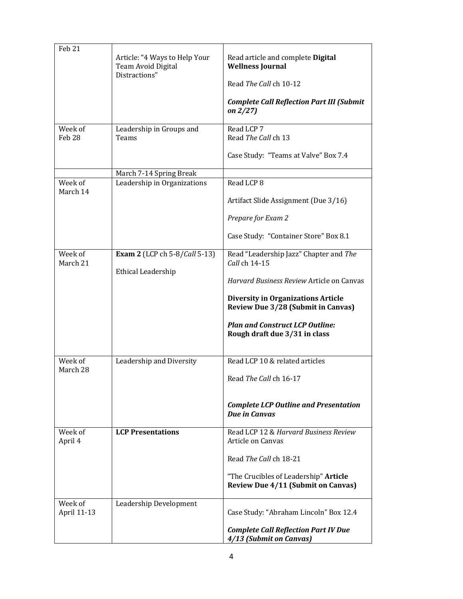| Feb 21<br>Week of      | Article: "4 Ways to Help Your<br>Team Avoid Digital<br>Distractions"<br>Leadership in Groups and | Read article and complete Digital<br><b>Wellness Journal</b><br>Read The Call ch 10-12<br><b>Complete Call Reflection Part III (Submit</b><br>on $2/27$ )<br>Read LCP 7                                                                                                   |
|------------------------|--------------------------------------------------------------------------------------------------|---------------------------------------------------------------------------------------------------------------------------------------------------------------------------------------------------------------------------------------------------------------------------|
| Feb <sub>28</sub>      | Teams<br>March 7-14 Spring Break                                                                 | Read The Call ch 13<br>Case Study: "Teams at Valve" Box 7.4                                                                                                                                                                                                               |
| Week of<br>March 14    | Leadership in Organizations                                                                      | Read LCP 8<br>Artifact Slide Assignment (Due 3/16)<br>Prepare for Exam 2<br>Case Study: "Container Store" Box 8.1                                                                                                                                                         |
| Week of<br>March 21    | <b>Exam 2</b> (LCP ch 5-8/Call 5-13)<br><b>Ethical Leadership</b>                                | Read "Leadership Jazz" Chapter and The<br>Call ch 14-15<br>Harvard Business Review Article on Canvas<br><b>Diversity in Organizations Article</b><br><b>Review Due 3/28 (Submit in Canvas)</b><br><b>Plan and Construct LCP Outline:</b><br>Rough draft due 3/31 in class |
| Week of<br>March 28    | Leadership and Diversity                                                                         | Read LCP 10 & related articles<br>Read The Call ch 16-17<br><b>Complete LCP Outline and Presentation</b><br><b>Due in Canvas</b>                                                                                                                                          |
| Week of<br>April 4     | <b>LCP Presentations</b>                                                                         | Read LCP 12 & Harvard Business Review<br>Article on Canvas<br>Read The Call ch 18-21<br>"The Crucibles of Leadership" Article<br><b>Review Due 4/11 (Submit on Canvas)</b>                                                                                                |
| Week of<br>April 11-13 | Leadership Development                                                                           | Case Study: "Abraham Lincoln" Box 12.4<br><b>Complete Call Reflection Part IV Due</b><br>4/13 (Submit on Canvas)                                                                                                                                                          |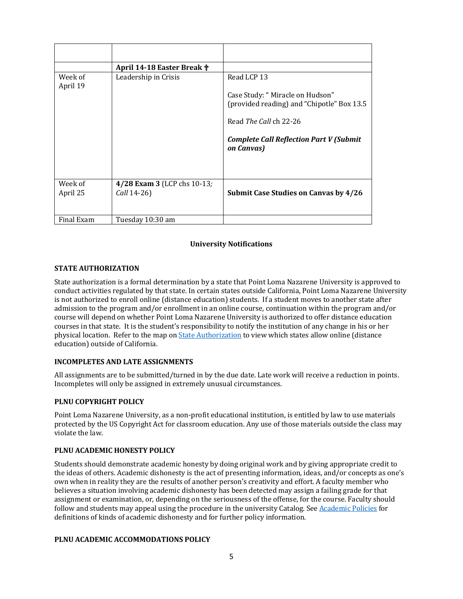|                     | April 14-18 Easter Break †                 |                                                                                                                                                                                        |
|---------------------|--------------------------------------------|----------------------------------------------------------------------------------------------------------------------------------------------------------------------------------------|
| Week of<br>April 19 | Leadership in Crisis                       | Read LCP 13<br>Case Study: "Miracle on Hudson"<br>(provided reading) and "Chipotle" Box 13.5<br>Read The Call ch 22-26<br><b>Complete Call Reflection Part V (Submit</b><br>on Canvas) |
| Week of<br>April 25 | 4/28 Exam 3 (LCP chs 10-13;<br>Call 14-26) | <b>Submit Case Studies on Canvas by 4/26</b>                                                                                                                                           |
| Final Exam          | Tuesday 10:30 am                           |                                                                                                                                                                                        |

# **University Notifications**

# **STATE AUTHORIZATION**

State authorization is a formal determination by a state that Point Loma Nazarene University is approved to conduct activities regulated by that state. In certain states outside California, Point Loma Nazarene University is not authorized to enroll online (distance education) students. If a student moves to another state after admission to the program and/or enrollment in an online course, continuation within the program and/or course will depend on whether Point Loma Nazarene University is authorized to offer distance education courses in that state. It is the student's responsibility to notify the institution of any change in his or her physical location. Refer to the map on State Authorization to view which states allow online (distance education) outside of California.

# **INCOMPLETES AND LATE ASSIGNMENTS**

All assignments are to be submitted/turned in by the due date. Late work will receive a reduction in points. Incompletes will only be assigned in extremely unusual circumstances.

# **PLNU COPYRIGHT POLICY**

Point Loma Nazarene University, as a non-profit educational institution, is entitled by law to use materials protected by the US Copyright Act for classroom education. Any use of those materials outside the class may violate the law.

# **PLNU ACADEMIC HONESTY POLICY**

Students should demonstrate academic honesty by doing original work and by giving appropriate credit to the ideas of others. Academic dishonesty is the act of presenting information, ideas, and/or concepts as one's own when in reality they are the results of another person's creativity and effort. A faculty member who believes a situation involving academic dishonesty has been detected may assign a failing grade for that assignment or examination, or, depending on the seriousness of the offense, for the course. Faculty should follow and students may appeal using the procedure in the university Catalog. See Academic Policies for definitions of kinds of academic dishonesty and for further policy information.

# **PLNU ACADEMIC ACCOMMODATIONS POLICY**